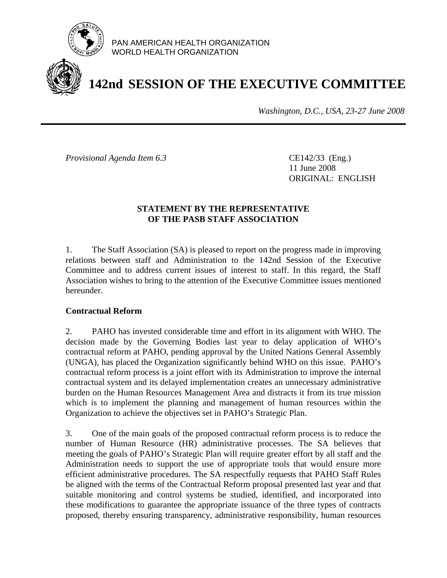

PAN AMERICAN HEALTH ORGANIZATION WORLD HEALTH ORGANIZATION

# **142nd SESSION OF THE EXECUTIVE COMMITTEE**

*Washington, D.C., USA, 23-27 June 2008*

*Provisional Agenda Item 6.3* CE142/33 (Eng.)

 11 June 2008 ORIGINAL: ENGLISH

## **STATEMENT BY THE REPRESENTATIVE OF THE PASB STAFF ASSOCIATION**

1. The Staff Association (SA) is pleased to report on the progress made in improving relations between staff and Administration to the 142nd Session of the Executive Committee and to address current issues of interest to staff. In this regard, the Staff Association wishes to bring to the attention of the Executive Committee issues mentioned hereunder.

# **Contractual Reform**

2. PAHO has invested considerable time and effort in its alignment with WHO. The decision made by the Governing Bodies last year to delay application of WHO's contractual reform at PAHO, pending approval by the United Nations General Assembly (UNGA), has placed the Organization significantly behind WHO on this issue. PAHO's contractual reform process is a joint effort with its Administration to improve the internal contractual system and its delayed implementation creates an unnecessary administrative burden on the Human Resources Management Area and distracts it from its true mission which is to implement the planning and management of human resources within the Organization to achieve the objectives set in PAHO's Strategic Plan.

3. One of the main goals of the proposed contractual reform process is to reduce the number of Human Resource (HR) administrative processes. The SA believes that meeting the goals of PAHO's Strategic Plan will require greater effort by all staff and the Administration needs to support the use of appropriate tools that would ensure more efficient administrative procedures. The SA respectfully requests that PAHO Staff Rules be aligned with the terms of the Contractual Reform proposal presented last year and that suitable monitoring and control systems be studied, identified, and incorporated into these modifications to guarantee the appropriate issuance of the three types of contracts proposed, thereby ensuring transparency, administrative responsibility, human resources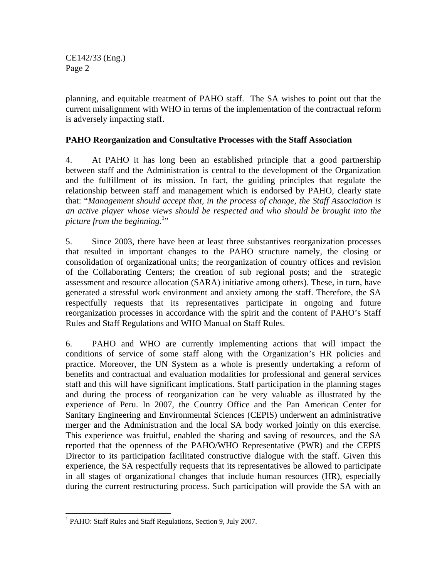CE142/33 (Eng.) Page 2

planning, and equitable treatment of PAHO staff. The SA wishes to point out that the current misalignment with WHO in terms of the implementation of the contractual reform is adversely impacting staff.

#### **PAHO Reorganization and Consultative Processes with the Staff Association**

4. At PAHO it has long been an established principle that a good partnership between staff and the Administration is central to the development of the Organization and the fulfillment of its mission. In fact, the guiding principles that regulate the relationship between staff and management which is endorsed by PAHO, clearly state that: "*Management should accept that, in the process of change, the Staff Association is an active player whose views should be respected and who should be brought into the*  picture from the beginning.<sup>1</sup>"

5. Since 2003, there have been at least three substantives reorganization processes that resulted in important changes to the PAHO structure namely, the closing or consolidation of organizational units; the reorganization of country offices and revision of the Collaborating Centers; the creation of sub regional posts; and the strategic assessment and resource allocation (SARA) initiative among others). These, in turn, have generated a stressful work environment and anxiety among the staff. Therefore, the SA respectfully requests that its representatives participate in ongoing and future reorganization processes in accordance with the spirit and the content of PAHO's Staff Rules and Staff Regulations and WHO Manual on Staff Rules.

6. PAHO and WHO are currently implementing actions that will impact the conditions of service of some staff along with the Organization's HR policies and practice. Moreover, the UN System as a whole is presently undertaking a reform of benefits and contractual and evaluation modalities for professional and general services staff and this will have significant implications. Staff participation in the planning stages and during the process of reorganization can be very valuable as illustrated by the experience of Peru. In 2007, the Country Office and the Pan American Center for Sanitary Engineering and Environmental Sciences (CEPIS) underwent an administrative merger and the Administration and the local SA body worked jointly on this exercise. This experience was fruitful, enabled the sharing and saving of resources, and the SA reported that the openness of the PAHO/WHO Representative (PWR) and the CEPIS Director to its participation facilitated constructive dialogue with the staff. Given this experience, the SA respectfully requests that its representatives be allowed to participate in all stages of organizational changes that include human resources (HR), especially during the current restructuring process. Such participation will provide the SA with an

 $\overline{a}$ 

<sup>&</sup>lt;sup>1</sup> PAHO: Staff Rules and Staff Regulations, Section 9, July 2007.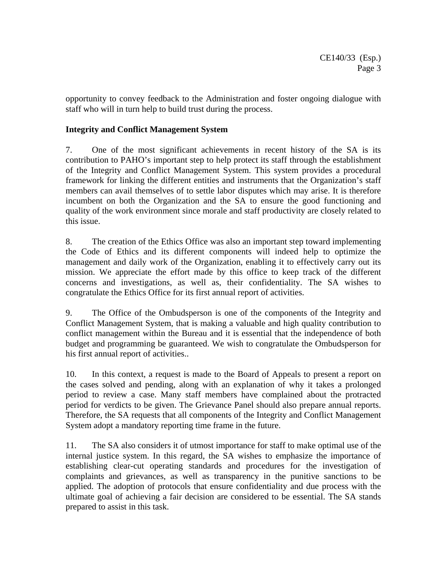opportunity to convey feedback to the Administration and foster ongoing dialogue with staff who will in turn help to build trust during the process.

### **Integrity and Conflict Management System**

7. One of the most significant achievements in recent history of the SA is its contribution to PAHO's important step to help protect its staff through the establishment of the Integrity and Conflict Management System. This system provides a procedural framework for linking the different entities and instruments that the Organization's staff members can avail themselves of to settle labor disputes which may arise. It is therefore incumbent on both the Organization and the SA to ensure the good functioning and quality of the work environment since morale and staff productivity are closely related to this issue.

8. The creation of the Ethics Office was also an important step toward implementing the Code of Ethics and its different components will indeed help to optimize the management and daily work of the Organization, enabling it to effectively carry out its mission. We appreciate the effort made by this office to keep track of the different concerns and investigations, as well as, their confidentiality. The SA wishes to congratulate the Ethics Office for its first annual report of activities.

9. The Office of the Ombudsperson is one of the components of the Integrity and Conflict Management System, that is making a valuable and high quality contribution to conflict management within the Bureau and it is essential that the independence of both budget and programming be guaranteed. We wish to congratulate the Ombudsperson for his first annual report of activities..

10. In this context, a request is made to the Board of Appeals to present a report on the cases solved and pending, along with an explanation of why it takes a prolonged period to review a case. Many staff members have complained about the protracted period for verdicts to be given. The Grievance Panel should also prepare annual reports. Therefore, the SA requests that all components of the Integrity and Conflict Management System adopt a mandatory reporting time frame in the future.

11. The SA also considers it of utmost importance for staff to make optimal use of the internal justice system. In this regard, the SA wishes to emphasize the importance of establishing clear-cut operating standards and procedures for the investigation of complaints and grievances, as well as transparency in the punitive sanctions to be applied. The adoption of protocols that ensure confidentiality and due process with the ultimate goal of achieving a fair decision are considered to be essential. The SA stands prepared to assist in this task.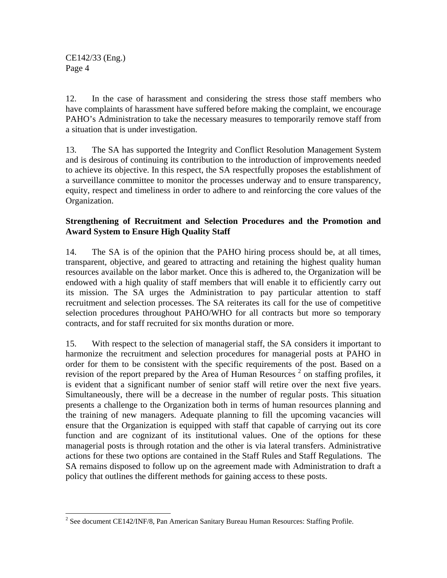CE142/33 (Eng.) Page 4

 $\overline{a}$ 

12. In the case of harassment and considering the stress those staff members who have complaints of harassment have suffered before making the complaint, we encourage PAHO's Administration to take the necessary measures to temporarily remove staff from a situation that is under investigation.

13. The SA has supported the Integrity and Conflict Resolution Management System and is desirous of continuing its contribution to the introduction of improvements needed to achieve its objective. In this respect, the SA respectfully proposes the establishment of a surveillance committee to monitor the processes underway and to ensure transparency, equity, respect and timeliness in order to adhere to and reinforcing the core values of the Organization.

### **Strengthening of Recruitment and Selection Procedures and the Promotion and Award System to Ensure High Quality Staff**

14. The SA is of the opinion that the PAHO hiring process should be, at all times, transparent, objective, and geared to attracting and retaining the highest quality human resources available on the labor market. Once this is adhered to, the Organization will be endowed with a high quality of staff members that will enable it to efficiently carry out its mission. The SA urges the Administration to pay particular attention to staff recruitment and selection processes. The SA reiterates its call for the use of competitive selection procedures throughout PAHO/WHO for all contracts but more so temporary contracts, and for staff recruited for six months duration or more.

15. With respect to the selection of managerial staff, the SA considers it important to harmonize the recruitment and selection procedures for managerial posts at PAHO in order for them to be consistent with the specific requirements of the post. Based on a revision of the report prepared by the Area of Human Resources<sup>2</sup> on staffing profiles, it is evident that a significant number of senior staff will retire over the next five years. Simultaneously, there will be a decrease in the number of regular posts. This situation presents a challenge to the Organization both in terms of human resources planning and the training of new managers. Adequate planning to fill the upcoming vacancies will ensure that the Organization is equipped with staff that capable of carrying out its core function and are cognizant of its institutional values. One of the options for these managerial posts is through rotation and the other is via lateral transfers. Administrative actions for these two options are contained in the Staff Rules and Staff Regulations. The SA remains disposed to follow up on the agreement made with Administration to draft a policy that outlines the different methods for gaining access to these posts.

 $2^2$  See document CE142/INF/8, Pan American Sanitary Bureau Human Resources: Staffing Profile.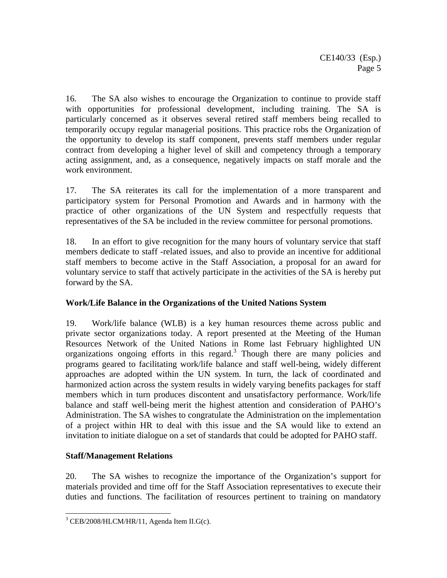16. The SA also wishes to encourage the Organization to continue to provide staff with opportunities for professional development, including training. The SA is particularly concerned as it observes several retired staff members being recalled to temporarily occupy regular managerial positions. This practice robs the Organization of the opportunity to develop its staff component, prevents staff members under regular contract from developing a higher level of skill and competency through a temporary acting assignment, and, as a consequence, negatively impacts on staff morale and the work environment.

17. The SA reiterates its call for the implementation of a more transparent and participatory system for Personal Promotion and Awards and in harmony with the practice of other organizations of the UN System and respectfully requests that representatives of the SA be included in the review committee for personal promotions.

18. In an effort to give recognition for the many hours of voluntary service that staff members dedicate to staff -related issues, and also to provide an incentive for additional staff members to become active in the Staff Association, a proposal for an award for voluntary service to staff that actively participate in the activities of the SA is hereby put forward by the SA.

# **Work/Life Balance in the Organizations of the United Nations System**

19. Work/life balance (WLB) is a key human resources theme across public and private sector organizations today. A report presented at the Meeting of the Human Resources Network of the United Nations in Rome last February highlighted UN organizations ongoing efforts in this regard.<sup>3</sup> Though there are many policies and programs geared to facilitating work/life balance and staff well-being, widely different approaches are adopted within the UN system. In turn, the lack of coordinated and harmonized action across the system results in widely varying benefits packages for staff members which in turn produces discontent and unsatisfactory performance. Work/life balance and staff well-being merit the highest attention and consideration of PAHO's Administration. The SA wishes to congratulate the Administration on the implementation of a project within HR to deal with this issue and the SA would like to extend an invitation to initiate dialogue on a set of standards that could be adopted for PAHO staff.

# **Staff/Management Relations**

 $\overline{a}$ 

20. The SA wishes to recognize the importance of the Organization's support for materials provided and time off for the Staff Association representatives to execute their duties and functions. The facilitation of resources pertinent to training on mandatory

 $3$  CEB/2008/HLCM/HR/11, Agenda Item II.G(c).